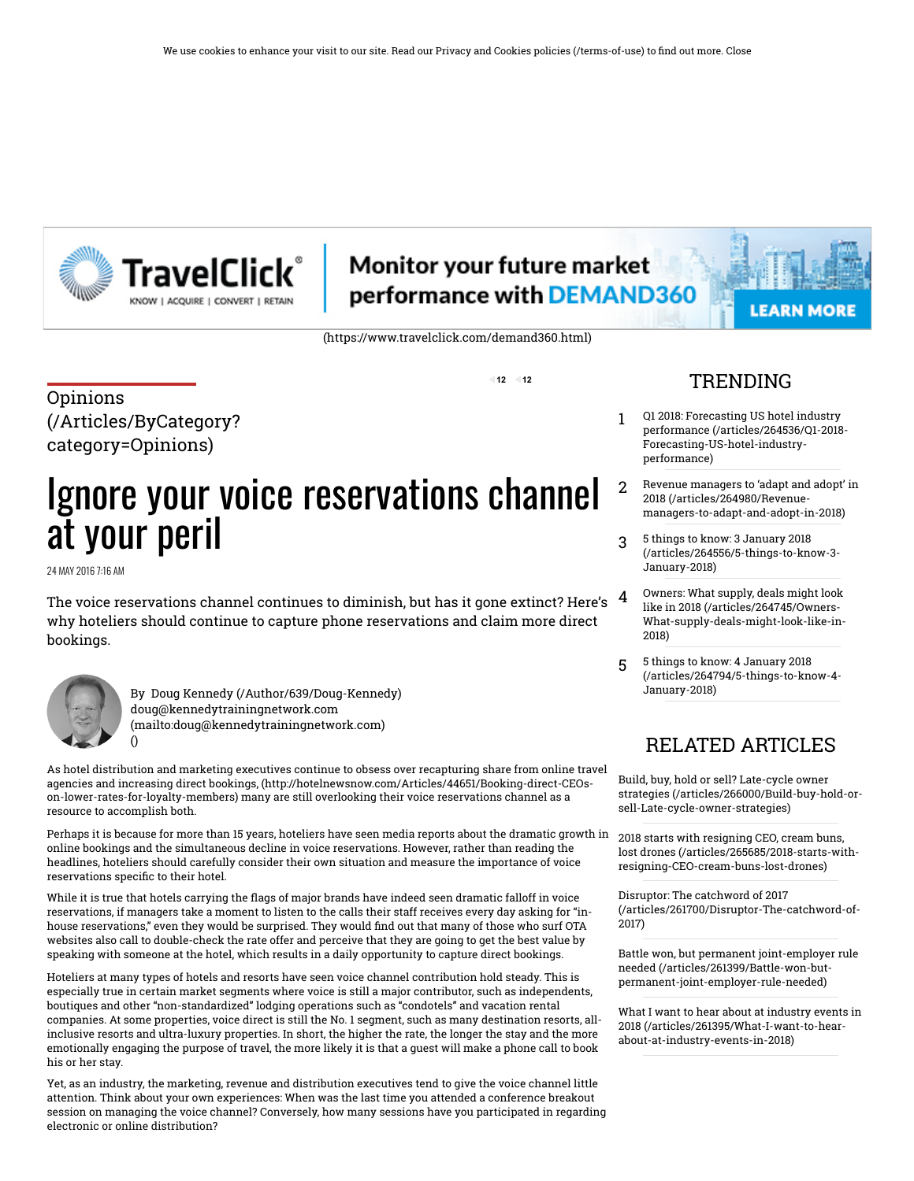

# **Monitor your future market** performance with DEMAND360

 $12 - 12$ 

[\(https://www.travelclick.com/demand360.html\)](https://www.travelclick.com/demand360.html)

**LEARN MORE** 

Opinions [\(/Articles/ByCategory?](http://www.hotelnewsnow.com/Articles/ByCategory?category=Opinions) category=Opinions)

# Ignore your voice reservations channel at your peril

24 MAY 2016 7:16 AM

The voice reservations channel continues to diminish, but has it gone extinct? Here's  $^{-4}$ why hoteliers should continue to capture phone reservations and claim more direct bookings.



[\(\)](http://www.hotelnewsnow.com/Articles/47266/Ignore-your-voice-reservations-channel-at-your-peril)

By [Doug Kennedy \(/Author/639/Doug-Kennedy\)](http://www.hotelnewsnow.com/Author/639/Doug-Kennedy) doug@kennedytrainingnetwork.com [\(mailto:doug@kennedytrainingnetwork.com\)](mailto:doug@kennedytrainingnetwork.com)

As hotel distribution and marketing executives continue to obsess over recapturing share from online travel agencies and increasing direct bookings, [\(http://hotelnewsnow.com/Articles/44651/Booking-direct-CEOs](http://hotelnewsnow.com/Articles/44651/Booking-direct-CEOs-on-lower-rates-for-loyalty-members)on-lower-rates-for-loyalty-members) many are still overlooking their voice reservations channel as a resource to accomplish both.

Perhaps it is because for more than 15 years, hoteliers have seen media reports about the dramatic growth in online bookings and the simultaneous decline in voice reservations. However, rather than reading the headlines, hoteliers should carefully consider their own situation and measure the importance of voice reservations specific to their hotel.

While it is true that hotels carrying the flags of major brands have indeed seen dramatic falloff in voice reservations, if managers take a moment to listen to the calls their staff receives every day asking for "inhouse reservations," even they would be surprised. They would find out that many of those who surf OTA websites also call to double-check the rate offer and perceive that they are going to get the best value by speaking with someone at the hotel, which results in a daily opportunity to capture direct bookings.

Hoteliers at many types of hotels and resorts have seen voice channel contribution hold steady. This is especially true in certain market segments where voice is still a major contributor, such as independents, boutiques and other "non-standardized" lodging operations such as "condotels" and vacation rental companies. At some properties, voice direct is still the No. 1 segment, such as many destination resorts, allinclusive resorts and ultra-luxury properties. In short, the higher the rate, the longer the stay and the more emotionally engaging the purpose of travel, the more likely it is that a guest will make a phone call to book his or her stay.

Yet, as an industry, the marketing, revenue and distribution executives tend to give the voice channel little attention. Think about your own experiences: When was the last time you attended a conference breakout session on managing the voice channel? Conversely, how many sessions have you participated in regarding electronic or online distribution?

### **TRENDING**

- 1 Q1 2018: Forecasting US hotel industry performance (/articles/264536/Q1-2018- [Forecasting-US-hotel-industry](http://www.hotelnewsnow.com/articles/264536/Q1-2018-Forecasting-US-hotel-industry-performance)performance)
- 2 Revenue managers to 'adapt and adopt' in 2018 (/articles/264980/Revenue [managers-to-adapt-and-adopt-in-2018\)](http://www.hotelnewsnow.com/articles/264980/Revenue-managers-to-adapt-and-adopt-in-2018)
- 3 5 things to know: 3 January 2018 [\(/articles/264556/5-things-to-know-3-](http://www.hotelnewsnow.com/articles/264556/5-things-to-know-3-January-2018) January-2018)
- Owners: What supply, deals might look like in 2018 (/articles/264745/Owners- [What-supply-deals-might-look-like-in-](http://www.hotelnewsnow.com/articles/264745/Owners-What-supply-deals-might-look-like-in-2018)2018)
- 5 5 things to know: 4 January 2018 [\(/articles/264794/5-things-to-know-4-](http://www.hotelnewsnow.com/articles/264794/5-things-to-know-4-January-2018) January-2018)

## RELATED ARTICLES

Build, buy, hold or sell? Late-cycle owner strategies [\(/articles/266000/Build-buy-hold-or](http://www.hotelnewsnow.com/articles/266000/Build-buy-hold-or-sell-Late-cycle-owner-strategies)sell-Late-cycle-owner-strategies)

2018 starts with resigning CEO, cream buns, lost drones (/articles/265685/2018-starts-with[resigning-CEO-cream-buns-lost-drones\)](http://www.hotelnewsnow.com/articles/265685/2018-starts-with-resigning-CEO-cream-buns-lost-drones)

Disruptor: The catchword of 2017 [\(/articles/261700/Disruptor-The-catchword-of-](http://www.hotelnewsnow.com/articles/261700/Disruptor-The-catchword-of-2017)2017)

Battle won, but permanent joint-employer rule needed (/articles/261399/Battle-won-but[permanent-joint-employer-rule-needed\)](http://www.hotelnewsnow.com/articles/261399/Battle-won-but-permanent-joint-employer-rule-needed)

What I want to hear about at industry events in 2018 [\(/articles/261395/What-I-want-to-hear](http://www.hotelnewsnow.com/articles/261395/What-I-want-to-hear-about-at-industry-events-in-2018)about-at-industry-events-in-2018)